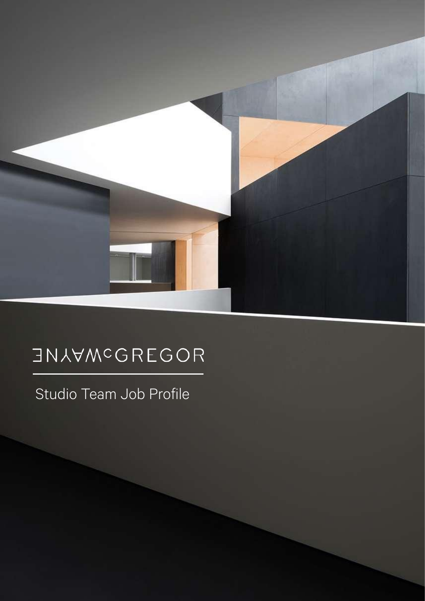

# **JNAAWCGBEGOB**

Studio Team Job Profile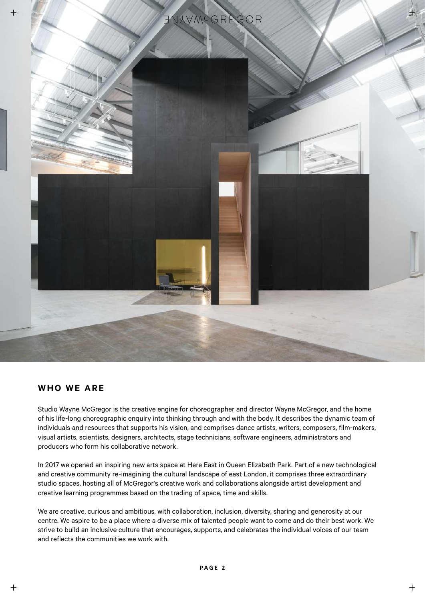

## **WHO WE ARE**

Studio Wayne McGregor is the creative engine for choreographer and director Wayne McGregor, and the home of his life-long choreographic enquiry into thinking through and with the body. It describes the dynamic team of individuals and resources that supports his vision, and comprises dance artists, writers, composers, film-makers, visual artists, scientists, designers, architects, stage technicians, software engineers, administrators and producers who form his collaborative network.

In 2017 we opened an inspiring new arts space at Here East in Queen Elizabeth Park. Part of a new technological and creative community re-imagining the cultural landscape of east London, it comprises three extraordinary studio spaces, hosting all of McGregor's creative work and collaborations alongside artist development and creative learning programmes based on the trading of space, time and skills.

We are creative, curious and ambitious, with collaboration, inclusion, diversity, sharing and generosity at our centre. We aspire to be a place where a diverse mix of talented people want to come and do their best work. We strive to build an inclusive culture that encourages, supports, and celebrates the individual voices of our team and reflects the communities we work with.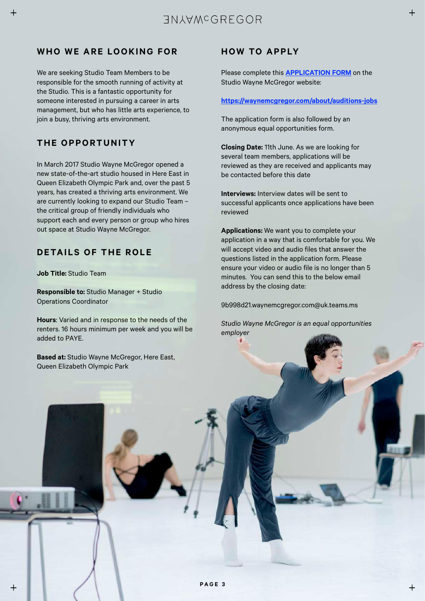# **WHO WE ARE LOOKING FOR**

We are seeking Studio Team Members to be responsible for the smooth running of activity at the Studio. This is a fantastic opportunity for someone interested in pursuing a career in arts management, but who has little arts experience, to join a busy, thriving arts environment.

# **THE OPPORTUNITY**

 $\overline{+}$ 

 $\overline{+}$ 

In March 2017 Studio Wayne McGregor opened a new state-of-the-art studio housed in Here East in Queen Elizabeth Olympic Park and, over the past 5 years, has created a thriving arts environment. We are currently looking to expand our Studio Team – the critical group of friendly individuals who support each and every person or group who hires out space at Studio Wayne McGregor.

## **DETAILS OF THE ROLE**

**Job Title:** Studio Team

**Responsible to:** Studio Manager + Studio Operations Coordinator

**Hours**: Varied and in response to the needs of the renters. 16 hours minimum per week and you will be added to PAYE.

**Based at:** Studio Wayne McGregor, Here East, Queen Elizabeth Olympic Park

## **HOW TO APPLY**

Please complete this **[APPLICATION FORM](https://forms.office.com/Pages/ResponsePage.aspx?id=39xVds2RuUuQ8vYQSy0kCf2OF5N0z75Ok4cwb3sbptFUQkFYMlpVVllHUzk3V0hEOTBGWEc2RDlRVyQlQCN0PWcu)** on the Studio Wayne McGregor website:

### **<https://waynemcgregor.com/about/auditions-jobs>**

The application form is also followed by an anonymous equal opportunities form.

**Closing Date:** 11th June. As we are looking for several team members, applications will be reviewed as they are received and applicants may be contacted before this date

**Interviews:** Interview dates will be sent to successful applicants once applications have been reviewed

**Applications:** We want you to complete your application in a way that is comfortable for you. We will accept video and audio files that answer the questions listed in the application form. Please ensure your video or audio file is no longer than 5 minutes. You can send this to the below email address by the closing date:

9b998d21.waynemcgregor.com@uk.teams.ms

*Studio Wayne McGregor is an equal opportunities employer*

 $+$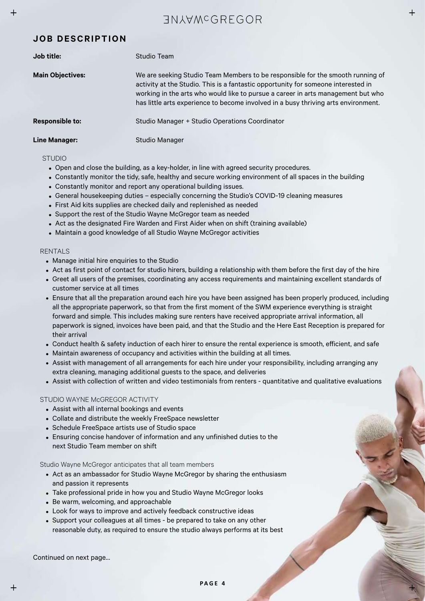# **GUALAWCGREGOR**

## **JOB DESCRIPTION**

| Job title:              | Studio Team                                                                                                                                                                                                                                                                                                                                   |
|-------------------------|-----------------------------------------------------------------------------------------------------------------------------------------------------------------------------------------------------------------------------------------------------------------------------------------------------------------------------------------------|
| <b>Main Objectives:</b> | We are seeking Studio Team Members to be responsible for the smooth running of<br>activity at the Studio. This is a fantastic opportunity for someone interested in<br>working in the arts who would like to pursue a career in arts management but who<br>has little arts experience to become involved in a busy thriving arts environment. |
| Responsible to:         | Studio Manager + Studio Operations Coordinator                                                                                                                                                                                                                                                                                                |
| <b>Line Manager:</b>    | Studio Manager                                                                                                                                                                                                                                                                                                                                |

#### STUDIO

 $\boldsymbol{+}$ 

- Open and close the building, as a key-holder, in line with agreed security procedures.
- Constantly monitor the tidy, safe, healthy and secure working environment of all spaces in the building
- Constantly monitor and report any operational building issues.
- General housekeeping duties especially concerning the Studio's COVID-19 cleaning measures
- First Aid kits supplies are checked daily and replenished as needed
- Support the rest of the Studio Wayne McGregor team as needed
- Act as the designated Fire Warden and First Aider when on shift (training available)
- Maintain a good knowledge of all Studio Wayne McGregor activities

#### RENTALS

- Manage initial hire enquiries to the Studio
- Act as first point of contact for studio hirers, building a relationship with them before the first day of the hire
- Greet all users of the premises, coordinating any access requirements and maintaining excellent standards of customer service at all times
- Ensure that all the preparation around each hire you have been assigned has been properly produced, including all the appropriate paperwork, so that from the first moment of the SWM experience everything is straight forward and simple. This includes making sure renters have received appropriate arrival information, all paperwork is signed, invoices have been paid, and that the Studio and the Here East Reception is prepared for their arrival
- Conduct health & safety induction of each hirer to ensure the rental experience is smooth, efficient, and safe
- Maintain awareness of occupancy and activities within the building at all times.
- Assist with management of all arrangements for each hire under your responsibility, including arranging any extra cleaning, managing additional guests to the space, and deliveries
- Assist with collection of written and video testimonials from renters quantitative and qualitative evaluations

#### STUDIO WAYNE McGREGOR ACTIVITY

- Assist with all internal bookings and events
- Collate and distribute the weekly FreeSpace newsletter
- Schedule FreeSpace artists use of Studio space
- Ensuring concise handover of information and any unfinished duties to the next Studio Team member on shift

Studio Wayne McGregor anticipates that all team members

- Act as an ambassador for Studio Wayne McGregor by sharing the enthusiasm and passion it represents
- Take professional pride in how you and Studio Wayne McGregor looks
- Be warm, welcoming, and approachable
- Look for ways to improve and actively feedback constructive ideas
- Support your colleagues at all times be prepared to take on any other reasonable duty, as required to ensure the studio always performs at its best

Continued on next page…